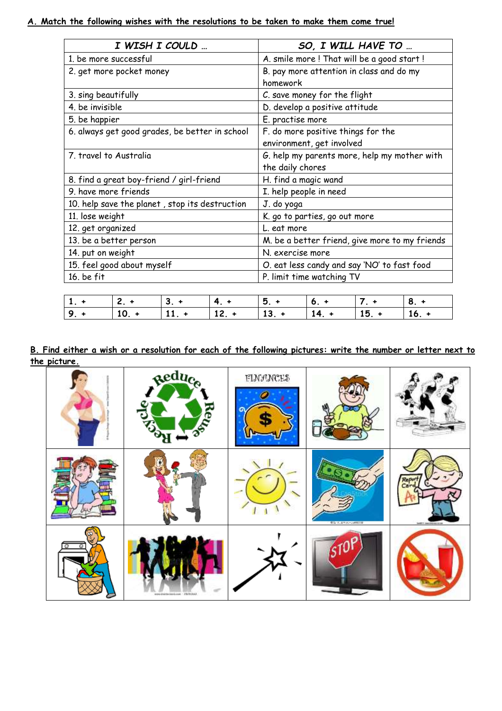## **A. Match the following wishes with the resolutions to be taken to make them come true!**

| I WISH I COULD                                 | SO, I WILL HAVE TO                             |
|------------------------------------------------|------------------------------------------------|
| 1. be more successful                          | A. smile more ! That will be a good start !    |
| 2. get more pocket money                       | B. pay more attention in class and do my       |
|                                                | homework                                       |
| 3. sing beautifully                            | C. save money for the flight                   |
| 4. be invisible                                | D. develop a positive attitude                 |
| 5. be happier                                  | E. practise more                               |
| 6. always get good grades, be better in school | F. do more positive things for the             |
|                                                | environment, get involved                      |
| 7. travel to Australia                         | G. help my parents more, help my mother with   |
|                                                | the daily chores                               |
| 8. find a great boy-friend / girl-friend       | H. find a magic wand                           |
| 9. have more friends                           | I. help people in need                         |
| 10. help save the planet, stop its destruction | J. do yoga                                     |
| 11. lose weight                                | K. go to parties, go out more                  |
| 12. get organized                              | L. eat more                                    |
| 13. be a better person                         | M. be a better friend, give more to my friends |
| 14. put on weight                              | N. exercise more                               |
| 15. feel good about myself                     | O. eat less candy and say 'NO' to fast food    |
| $16.$ be $fit$                                 | P. limit time watching TV                      |

| $1 + 2 + 3 +$ |  |                                        |  |  |
|---------------|--|----------------------------------------|--|--|
|               |  | $9 + 10 + 11 + 12 + 13 + 14 + 15 + 16$ |  |  |

## **B. Find either a wish or a resolution for each of the following pictures: write the number or letter next to the picture.**

|   | Reduce<br>Reug        | <b>FLWANCES</b> |                      |                        |
|---|-----------------------|-----------------|----------------------|------------------------|
|   |                       |                 | <b>CONTRACTORIUM</b> | SHIPS CALLING ASSESSED |
| Ω | economission 26251122 |                 |                      |                        |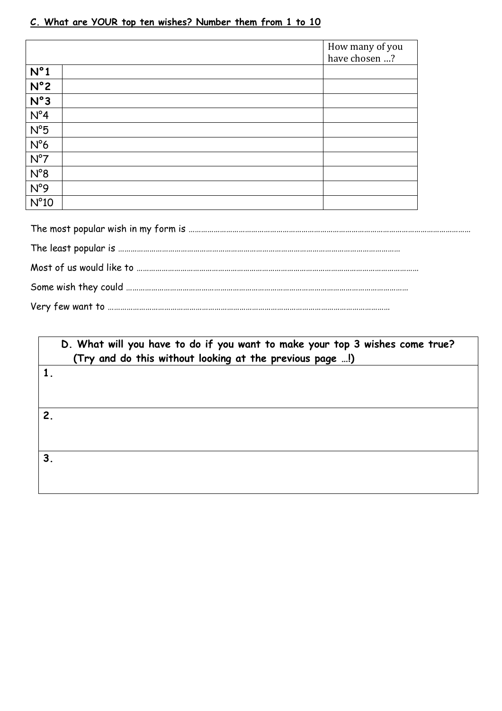## **C. What are YOUR top ten wishes? Number them from 1 to 10**

|               | How many of you |
|---------------|-----------------|
|               | have chosen ?   |
| $N^{\circ}1$  |                 |
| $N^{\circ}2$  |                 |
| N°3           |                 |
| $N^{\circ}4$  |                 |
| $N^{\circ}5$  |                 |
| $N^{\circ}6$  |                 |
| $N^{\circ}7$  |                 |
| $N^{\circ}8$  |                 |
| N°9           |                 |
| $N^{\circ}10$ |                 |

|                | D. What will you have to do if you want to make your top 3 wishes come true?<br>(Try and do this without looking at the previous page !) |  |  |
|----------------|------------------------------------------------------------------------------------------------------------------------------------------|--|--|
|                |                                                                                                                                          |  |  |
| $\overline{2}$ |                                                                                                                                          |  |  |
| 3 <sub>1</sub> |                                                                                                                                          |  |  |